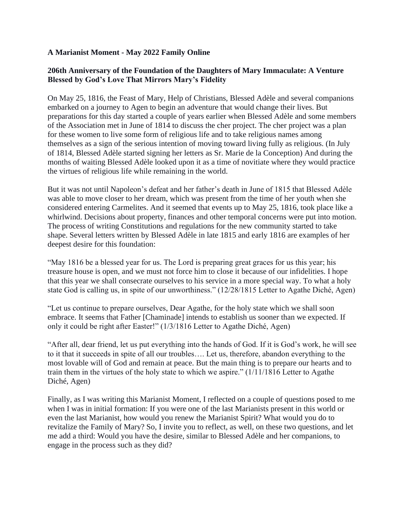## **A Marianist Moment - May 2022 Family Online**

## **206th Anniversary of the Foundation of the Daughters of Mary Immaculate: A Venture Blessed by God's Love That Mirrors Mary's Fidelity**

On May 25, 1816, the Feast of Mary, Help of Christians, Blessed Adèle and several companions embarked on a journey to Agen to begin an adventure that would change their lives. But preparations for this day started a couple of years earlier when Blessed Adèle and some members of the Association met in June of 1814 to discuss the cher project. The cher project was a plan for these women to live some form of religious life and to take religious names among themselves as a sign of the serious intention of moving toward living fully as religious. (In July of 1814, Blessed Adèle started signing her letters as Sr. Marie de la Conception) And during the months of waiting Blessed Adèle looked upon it as a time of novitiate where they would practice the virtues of religious life while remaining in the world.

But it was not until Napoleon's defeat and her father's death in June of 1815 that Blessed Adèle was able to move closer to her dream, which was present from the time of her youth when she considered entering Carmelites. And it seemed that events up to May 25, 1816, took place like a whirlwind. Decisions about property, finances and other temporal concerns were put into motion. The process of writing Constitutions and regulations for the new community started to take shape. Several letters written by Blessed Adèle in late 1815 and early 1816 are examples of her deepest desire for this foundation:

"May 1816 be a blessed year for us. The Lord is preparing great graces for us this year; his treasure house is open, and we must not force him to close it because of our infidelities. I hope that this year we shall consecrate ourselves to his service in a more special way. To what a holy state God is calling us, in spite of our unworthiness." (12/28/1815 Letter to Agathe Diché, Agen)

"Let us continue to prepare ourselves, Dear Agathe, for the holy state which we shall soon embrace. It seems that Father [Chaminade] intends to establish us sooner than we expected. If only it could be right after Easter!" (1/3/1816 Letter to Agathe Diché, Agen)

"After all, dear friend, let us put everything into the hands of God. If it is God's work, he will see to it that it succeeds in spite of all our troubles…. Let us, therefore, abandon everything to the most lovable will of God and remain at peace. But the main thing is to prepare our hearts and to train them in the virtues of the holy state to which we aspire." (1/11/1816 Letter to Agathe Diché, Agen)

Finally, as I was writing this Marianist Moment, I reflected on a couple of questions posed to me when I was in initial formation: If you were one of the last Marianists present in this world or even the last Marianist, how would you renew the Marianist Spirit? What would you do to revitalize the Family of Mary? So, I invite you to reflect, as well, on these two questions, and let me add a third: Would you have the desire, similar to Blessed Adèle and her companions, to engage in the process such as they did?